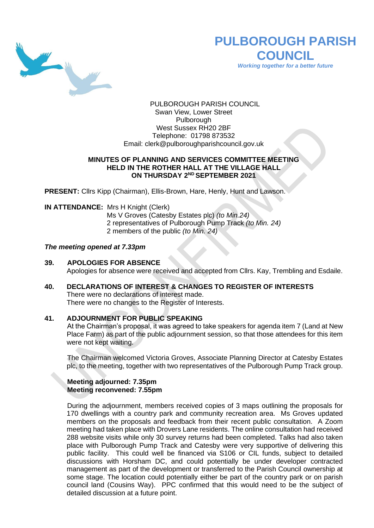

# **PULBOROUGH PARISH COUNCIL**

*Working together for a better future*

PULBOROUGH PARISH COUNCIL Swan View, Lower Street Pulborough West Sussex RH20 2BF Telephone: 01798 873532 Email: [clerk@pulboroughparishcouncil.gov.uk](mailto:clerk@pulboroughparishcouncil.gov.uk)

## **MINUTES OF PLANNING AND SERVICES COMMITTEE MEETING HELD IN THE ROTHER HALL AT THE VILLAGE HALL ON THURSDAY 2 ND SEPTEMBER 2021**

**PRESENT:** Cllrs Kipp (Chairman), Ellis-Brown, Hare, Henly, Hunt and Lawson.

#### **IN ATTENDANCE:** Mrs H Knight (Clerk)

Ms V Groves (Catesby Estates plc) *(to Min.24)* 2 representatives of Pulborough Pump Track *(to Min. 24)* 2 members of the public *(to Min. 24)*

#### *The meeting opened at 7.33pm*

#### **39. APOLOGIES FOR ABSENCE**

Apologies for absence were received and accepted from Cllrs. Kay, Trembling and Esdaile.

#### **40. DECLARATIONS OF INTEREST & CHANGES TO REGISTER OF INTERESTS** There were no declarations of interest made.

There were no changes to the Register of Interests.

## **41. ADJOURNMENT FOR PUBLIC SPEAKING**

At the Chairman's proposal, it was agreed to take speakers for agenda item 7 (Land at New Place Farm) as part of the public adjournment session, so that those attendees for this item were not kept waiting.

The Chairman welcomed Victoria Groves, Associate Planning Director at Catesby Estates plc, to the meeting, together with two representatives of the Pulborough Pump Track group.

#### **Meeting adjourned: 7.35pm Meeting reconvened: 7.55pm**

During the adjournment, members received copies of 3 maps outlining the proposals for 170 dwellings with a country park and community recreation area. Ms Groves updated members on the proposals and feedback from their recent public consultation. A Zoom meeting had taken place with Drovers Lane residents. The online consultation had received 288 website visits while only 30 survey returns had been completed. Talks had also taken place with Pulborough Pump Track and Catesby were very supportive of delivering this public facility. This could well be financed via S106 or CIL funds, subject to detailed discussions with Horsham DC, and could potentially be under developer contracted management as part of the development or transferred to the Parish Council ownership at some stage. The location could potentially either be part of the country park or on parish council land (Cousins Way). PPC confirmed that this would need to be the subject of detailed discussion at a future point.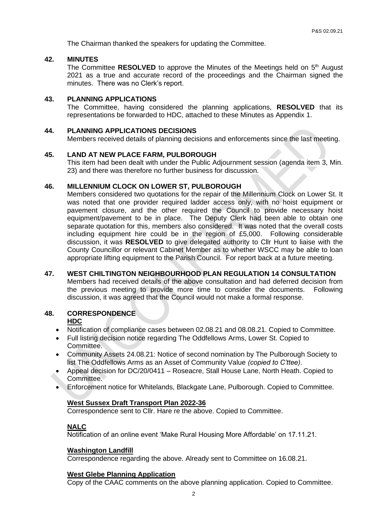The Chairman thanked the speakers for updating the Committee.

## **42. MINUTES**

The Committee RESOLVED to approve the Minutes of the Meetings held on 5<sup>th</sup> August 2021 as a true and accurate record of the proceedings and the Chairman signed the minutes. There was no Clerk's report.

#### **43. PLANNING APPLICATIONS**

The Committee, having considered the planning applications, **RESOLVED** that its representations be forwarded to HDC, attached to these Minutes as Appendix 1.

#### **44. PLANNING APPLICATIONS DECISIONS**

Members received details of planning decisions and enforcements since the last meeting.

#### **45. LAND AT NEW PLACE FARM, PULBOROUGH**

This item had been dealt with under the Public Adjournment session (agenda item 3, Min. 23) and there was therefore no further business for discussion.

#### **46. MILLENNIUM CLOCK ON LOWER ST, PULBOROUGH**

Members considered two quotations for the repair of the Millennium Clock on Lower St. It was noted that one provider required ladder access only, with no hoist equipment or pavement closure, and the other required the Council to provide necessary hoist equipment/pavement to be in place. The Deputy Clerk had been able to obtain one separate quotation for this, members also considered. It was noted that the overall costs including equipment hire could be in the region of £5,000. Following considerable discussion, it was **RESOLVED** to give delegated authority to Cllr Hunt to liaise with the County Councillor or relevant Cabinet Member as to whether WSCC may be able to loan appropriate lifting equipment to the Parish Council. For report back at a future meeting.

**47. WEST CHILTINGTON NEIGHBOURHOOD PLAN REGULATION 14 CONSULTATION** Members had received details of the above consultation and had deferred decision from the previous meeting to provide more time to consider the documents. Following discussion, it was agreed that the Council would not make a formal response.

## **48. CORRESPONDENCE**

## **HDC**

- Notification of compliance cases between 02.08.21 and 08.08.21. Copied to Committee.
- Full listing decision notice regarding The Oddfellows Arms, Lower St. Copied to Committee.
- Community Assets 24.08.21: Notice of second nomination by The Pulborough Society to list The Oddfellows Arms as an Asset of Community Value *(copied to C'ttee)*.
- Appeal decision for DC/20/0411 Roseacre, Stall House Lane, North Heath. Copied to Committee.
- Enforcement notice for Whitelands, Blackgate Lane, Pulborough. Copied to Committee.

#### **West Sussex Draft Transport Plan 2022-36**

Correspondence sent to Cllr. Hare re the above. Copied to Committee.

## **NALC**

Notification of an online event 'Make Rural Housing More Affordable' on 17.11.21.

#### **Washington Landfill**

Correspondence regarding the above. Already sent to Committee on 16.08.21.

#### **West Glebe Planning Application**

Copy of the CAAC comments on the above planning application. Copied to Committee.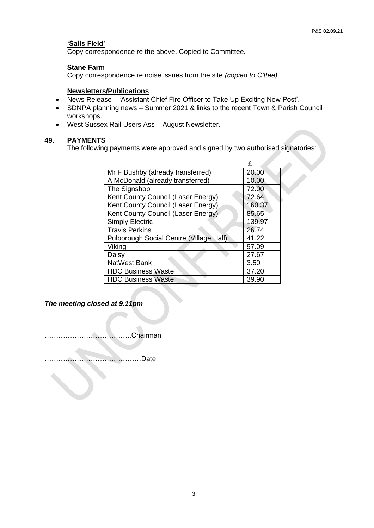#### **'Sails Field'**

Copy correspondence re the above. Copied to Committee.

#### **Stane Farm**

Copy correspondence re noise issues from the site *(copied to C'ttee).*

#### **Newsletters/Publications**

- News Release 'Assistant Chief Fire Officer to Take Up Exciting New Post'.
- SDNPA planning news Summer 2021 & links to the recent Town & Parish Council workshops.
- West Sussex Rail Users Ass August Newsletter.

#### **49. PAYMENTS**

The following payments were approved and signed by two authorised signatories:

|                                         | F      |
|-----------------------------------------|--------|
| Mr F Bushby (already transferred)       | 20.00  |
| A McDonald (already transferred)        | 10.00  |
| The Signshop                            | 72.00  |
| Kent County Council (Laser Energy)      | 72.64  |
| Kent County Council (Laser Energy)      | 160.37 |
| Kent County Council (Laser Energy)      | 85.65  |
| <b>Simply Electric</b>                  | 139.97 |
| <b>Travis Perkins</b>                   | 26.74  |
| Pulborough Social Centre (Village Hall) | 41.22  |
| Viking                                  | 97.09  |
| Daisy                                   | 27.67  |
| NatWest Bank                            | 3.50   |
| <b>HDC Business Waste</b>               | 37.20  |
| <b>HDC Business Waste</b>               | 39.90  |

*The meeting closed at 9.11pm*

………………………………..Chairman

……………………………………Date